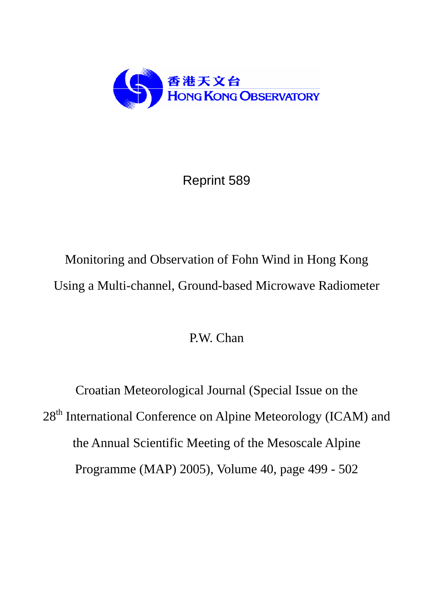

Reprint 589

# Monitoring and Observation of Fohn Wind in Hong Kong Using a Multi-channel, Ground-based Microwave Radiometer

## P.W. Chan

Croatian Meteorological Journal (Special Issue on the 28<sup>th</sup> International Conference on Alpine Meteorology (ICAM) and the Annual Scientific Meeting of the Mesoscale Alpine Programme (MAP) 2005), Volume 40, page 499 - 502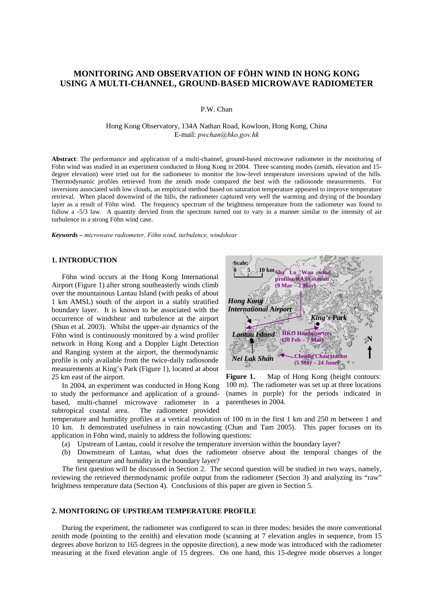### **MONITORING AND OBSERVATION OF FÖHN WIND IN HONG KONG USING A MULTI-CHANNEL, GROUND-BASED MICROWAVE RADIOMETER**

P.W. Chan

Hong Kong Observatory, 134A Nathan Road, Kowloon, Hong Kong, China E-mail: *pwchan@hko.gov.hk*

**Abstract**: The performance and application of a multi-channel, ground-based microwave radiometer in the monitoring of Föhn wind was studied in an experiment conducted in Hong Kong in 2004. Three scanning modes (zenith, elevation and 15degree elevation) were tried out for the radiometer to monitor the low-level temperature inversions upwind of the hills. Thermodynamic profiles retrieved from the zenith mode compared the best with the radiosonde measurements. For inversions associated with low clouds, an empirical method based on saturation temperature appeared to improve temperature retrieval. When placed downwind of the hills, the radiometer captured very well the warming and drying of the boundary layer as a result of Föhn wind. The frequency spectrum of the brightness temperature from the radiometer was found to follow a -5/3 law. A quantity dervied from the spectrum turned out to vary in a manner similar to the intensity of air turbulence in a strong Föhn wind case.

*Keywords – microwave radiometer, Föhn wind, turbulence, windshear* 

#### **1. INTRODUCTION**

 Föhn wind occurs at the Hong Kong International Airport (Figure 1) after strong southeasterly winds climb over the mountainous Lantau Island (with peaks of about 1 km AMSL) south of the airport in a stably stratified boundary layer. It is known to be associated with the occurrence of windshear and turbulence at the airport (Shun et al. 2003). Whilst the upper-air dynamics of the Föhn wind is continuously monitored by a wind profiler network in Hong Kong and a Doppler Light Detection and Ranging system at the airport, the thermodynamic profile is only available from the twice-daily radiosonde measurements at King's Park (Figure 1), located at about 25 km east of the airport.

 In 2004, an experiment was conducted in Hong Kong to study the performance and application of a groundbased, multi-channel microwave radiometer in a subtropical coastal area. The radiometer provided



Figure 1. Map of Hong Kong (height contours: 100 m). The radiometer was set up at three locations (names in purple) for the periods indicated in parentheses in 2004.

temperature and humidity profiles at a vertical resolution of 100 m in the first 1 km and 250 m between 1 and 10 km. It demonstrated usefulness in rain nowcasting (Chan and Tam 2005). This paper focuses on its application in Föhn wind, mainly to address the following questions:

- (a) Upstream of Lantau, could it resolve the temperature inversion within the boundary layer?
- (b) Downstream of Lantau, what does the radiometer observe about the temporal changes of the temperature and humidity in the boundary layer?

 The first question will be discussed in Section 2. The second question will be studied in two ways, namely, reviewing the retrieved thermodynamic profile output from the radiometer (Section 3) and analyzing its "raw" brightness temperature data (Section 4). Conclusions of this paper are given in Section 5.

#### **2. MONITORING OF UPSTREAM TEMPERATURE PROFILE**

 During the experiment, the radiometer was configured to scan in three modes: besides the more conventional zenith mode (pointing to the zenith) and elevation mode (scanning at 7 elevation angles in sequence, from 15 degrees above horizon to 165 degrees in the opposite direction), a new mode was introduced with the radiometer measuring at the fixed elevation angle of 15 degrees. On one hand, this 15-degree mode observes a longer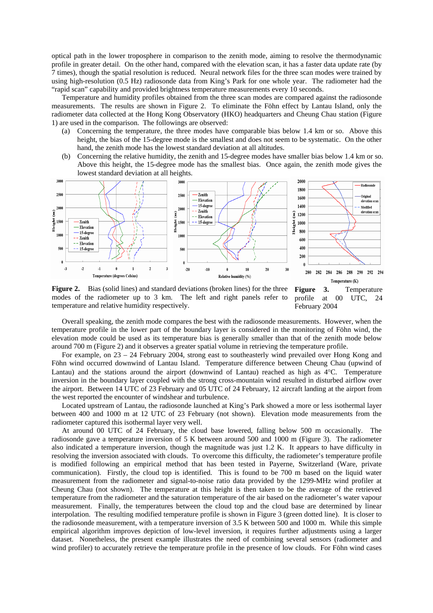optical path in the lower troposphere in comparison to the zenith mode, aiming to resolve the thermodynamic profile in greater detail. On the other hand, compared with the elevation scan, it has a faster data update rate (by 7 times), though the spatial resolution is reduced. Neural network files for the three scan modes were trained by using high-resolution (0.5 Hz) radiosonde data from King's Park for one whole year. The radiometer had the "rapid scan" capability and provided brightness temperature measurements every 10 seconds.

 Temperature and humidity profiles obtained from the three scan modes are compared against the radiosonde measurements. The results are shown in Figure 2. To eliminate the Föhn effect by Lantau Island, only the radiometer data collected at the Hong Kong Observatory (HKO) headquarters and Cheung Chau station (Figure 1) are used in the comparison. The followings are observed:

- (a) Concerning the temperature, the three modes have comparable bias below 1.4 km or so. Above this height, the bias of the 15-degree mode is the smallest and does not seem to be systematic. On the other hand, the zenith mode has the lowest standard deviation at all altitudes.
- (b) Concerning the relative humidity, the zenith and 15-degree modes have smaller bias below 1.4 km or so. Above this height, the 15-degree mode has the smallest bias. Once again, the zenith mode gives the lowest standard deviation at all heights.



**Figure 2.** Bias (solid lines) and standard deviations (broken lines) for the three modes of the radiometer up to 3 km. The left and right panels refer to temperature and relative humidity respectively.

**Figure 3.** Temperature profile at 00 UTC, 24 February 2004

 Overall speaking, the zenith mode compares the best with the radiosonde measurements. However, when the temperature profile in the lower part of the boundary layer is considered in the monitoring of Föhn wind, the elevation mode could be used as its temperature bias is generally smaller than that of the zenith mode below around 700 m (Figure 2) and it observes a greater spatial volume in retrieving the temperature profile.

 For example, on 23 – 24 February 2004, strong east to southeasterly wind prevailed over Hong Kong and Föhn wind occurred downwind of Lantau Island. Temperature difference between Cheung Chau (upwind of Lantau) and the stations around the airport (downwind of Lantau) reached as high as 4°C. Temperature inversion in the boundary layer coupled with the strong cross-mountain wind resulted in disturbed airflow over the airport. Between 14 UTC of 23 February and 05 UTC of 24 February, 12 aircraft landing at the airport from the west reported the encounter of windshear and turbulence.

 Located upstream of Lantau, the radiosonde launched at King's Park showed a more or less isothermal layer between 400 and 1000 m at 12 UTC of 23 February (not shown). Elevation mode measurements from the radiometer captured this isothermal layer very well.

 At around 00 UTC of 24 February, the cloud base lowered, falling below 500 m occasionally. The radiosonde gave a temperature inversion of 5 K between around 500 and 1000 m (Figure 3). The radiometer also indicated a temperature inversion, though the magnitude was just 1.2 K. It appears to have difficulty in resolving the inversion associated with clouds. To overcome this difficulty, the radiometer's temperature profile is modified following an empirical method that has been tested in Payerne, Switzerland (Ware, private communication). Firstly, the cloud top is identified. This is found to be 700 m based on the liquid water measurement from the radiometer and signal-to-noise ratio data provided by the 1299-MHz wind profiler at Cheung Chau (not shown). The temperature at this height is then taken to be the average of the retrieved temperature from the radiometer and the saturation temperature of the air based on the radiometer's water vapour measurement. Finally, the temperatures between the cloud top and the cloud base are determined by linear interpolation. The resulting modified temperature profile is shown in Figure 3 (green dotted line). It is closer to the radiosonde measurement, with a temperature inversion of 3.5 K between 500 and 1000 m. While this simple empirical algorithm improves depiction of low-level inversion, it requires further adjustments using a larger dataset. Nonetheless, the present example illustrates the need of combining several sensors (radiometer and wind profiler) to accurately retrieve the temperature profile in the presence of low clouds. For Föhn wind cases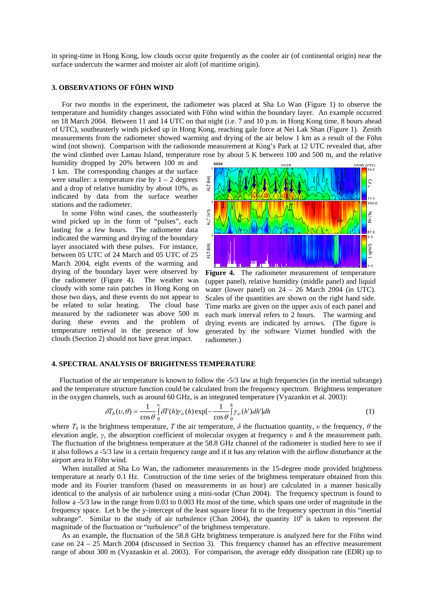in spring-time in Hong Kong, low clouds occur quite frequently as the cooler air (of continental origin) near the surface undercuts the warmer and moister air aloft (of maritime origin).

#### **3. OBSERVATIONS OF FÖHN WIND**

 For two months in the experiment, the radiometer was placed at Sha Lo Wan (Figure 1) to observe the temperature and humidity changes associated with Föhn wind within the boundary layer. An example occurred on 18 March 2004. Between 11 and 14 UTC on that night (i.e. 7 and 10 p.m. in Hong Kong time, 8 hours ahead of UTC), southeasterly winds picked up in Hong Kong, reaching gale force at Nei Lak Shan (Figure 1). Zenith measurements from the radiometer showed warming and drying of the air below 1 km as a result of the Föhn wind (not shown). Comparison with the radiosonde measurement at King's Park at 12 UTC revealed that, after the wind climbed over Lantau Island, temperature rose by about 5 K between 100 and 500 m, and the relative

humidity dropped by 20% between 100 m and 1 km. The corresponding changes at the surface were smaller: a temperature rise by  $1 - 2$  degrees and a drop of relative humidity by about 10%, as indicated by data from the surface weather stations and the radiometer.

 In some Föhn wind cases, the southeasterly wind picked up in the form of "pulses", each lasting for a few hours. The radiometer data indicated the warming and drying of the boundary layer associated with these pulses. For instance, between 05 UTC of 24 March and 05 UTC of 25 March 2004, eight events of the warming and drying of the boundary layer were observed by the radiometer (Figure 4). The weather was cloudy with some rain patches in Hong Kong on those two days, and these events do not appear to be related to solar heating. The cloud base measured by the radiometer was above 500 m during these events and the problem of temperature retrieval in the presence of low clouds (Section 2) should not have great impact.



**Figure 4.** The radiometer measurement of temperature (upper panel), relative humidity (middle panel) and liquid water (lower panel) on  $24 - 26$  March 2004 (in UTC). Scales of the quantities are shown on the right hand side. Time marks are given on the upper axis of each panel and each mark interval refers to 2 hours. The warming and drying events are indicated by arrows. (The figure is generated by the software Vizmet bundled with the radiometer.)

#### **4. SPECTRAL ANALYSIS OF BRIGHTNESS TEMPERATURE**

Fluctuation of the air temperature is known to follow the -5/3 law at high frequencies (in the inertial subrange) and the temperature structure function could be calculated from the frequency spectrum. Brightness temperature in the oxygen channels, such as around 60 GHz, is an integrated temperature (Vyazankin et al. 2003):

$$
\delta T_b(\nu,\theta) = \frac{1}{\cos\theta} \int_0^\infty \delta T(h) \gamma_\nu(h) \exp\left[-\frac{1}{\cos\theta} \int_0^h \gamma_\nu(h') \, dh'\right] \, dh \tag{1}
$$

where  $T_b$  is the brightness temperature, *T* the air temperature,  $\delta$  the fluctuation quantity, *v* the frequency,  $\theta$  the elevation angle, *γν* the absorption coefficient of molecular oxygen at frequency *υ* and *h* the measurement path. The fluctuation of the brightness temperature at the 58.8 GHz channel of the radiometer is studied here to see if it also follows a -5/3 law in a certain frequency range and if it has any relation with the airflow disturbance at the airport area in Föhn wind.

When installed at Sha Lo Wan, the radiometer measurements in the 15-degree mode provided brightness temperature at nearly 0.1 Hz. Construction of the time series of the brightness temperature obtained from this mode and its Fourier transform (based on measurements in an hour) are calculated in a manner basically identical to the analysis of air turbulence using a mini-sodar (Chan 2004). The frequency spectrum is found to follow a -5/3 law in the range from 0.03 to 0.003 Hz most of the time, which spans one order of magnitude in the frequency space. Let b be the y-intercept of the least square linear fit to the frequency spectrum in this "inertial subrange". Similar to the study of air turbulence (Chan 2004), the quantity  $10<sup>b</sup>$  is taken to represent the magnitude of the fluctuation or "turbulence" of the brightness temperature.

 As an example, the fluctuation of the 58.8 GHz brightness temperature is analyzed here for the Föhn wind case on 24 – 25 March 2004 (discussed in Section 3). This frequency channel has an effective measurement range of about 300 m (Vyazankin et al. 2003). For comparison, the average eddy dissipation rate (EDR) up to